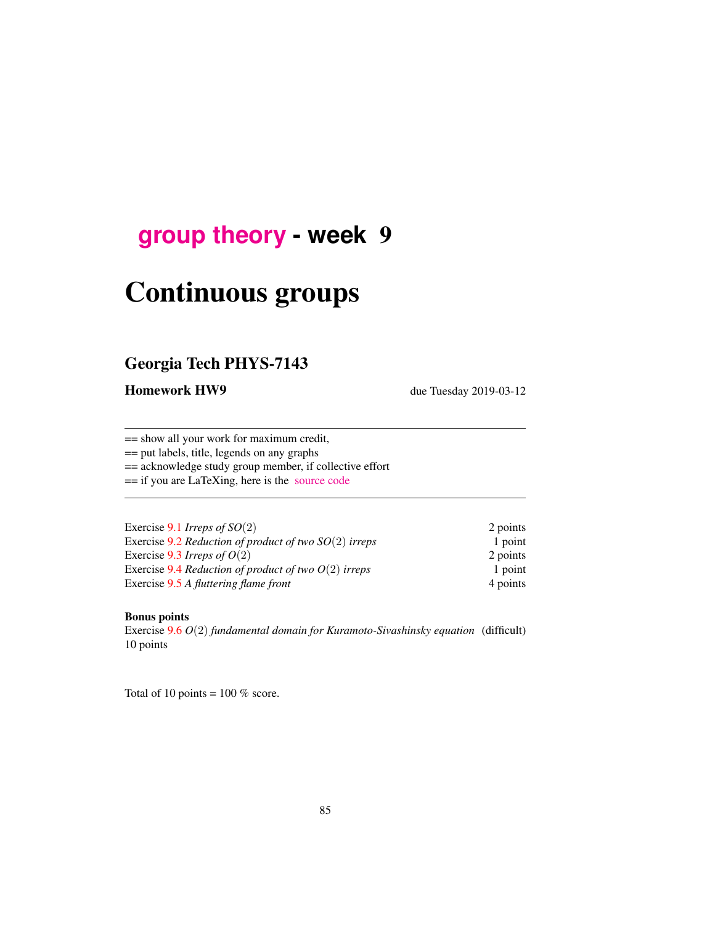## **[group theory](http://birdtracks.eu/courses/PHYS-7143-19/schedule.html) - week** 9

# Continuous groups

## Georgia Tech PHYS-7143

Homework HW9 due Tuesday 2019-03-12

== show all your work for maximum credit,

== put labels, title, legends on any graphs

== acknowledge study group member, if collective effort

== if you are LaTeXing, here is the [source code](http://birdtracks.eu/courses/PHYS-7143-19/exerWeek9.tex)

| Exercise 9.1 Irreps of $SO(2)$                          | 2 points |
|---------------------------------------------------------|----------|
| Exercise 9.2 Reduction of product of two $SO(2)$ irreps | 1 point  |
| Exercise 9.3 Irreps of $O(2)$                           | 2 points |
| Exercise 9.4 Reduction of product of two $O(2)$ irreps  | 1 point  |
| Exercise 9.5 A fluttering flame front                   | 4 points |

#### Bonus points

Exercise 9.6 *O*(2) *fundamental domain for Kuramoto-Sivashinsky equation* (difficult) 10 points

Total of 10 points =  $100\%$  score.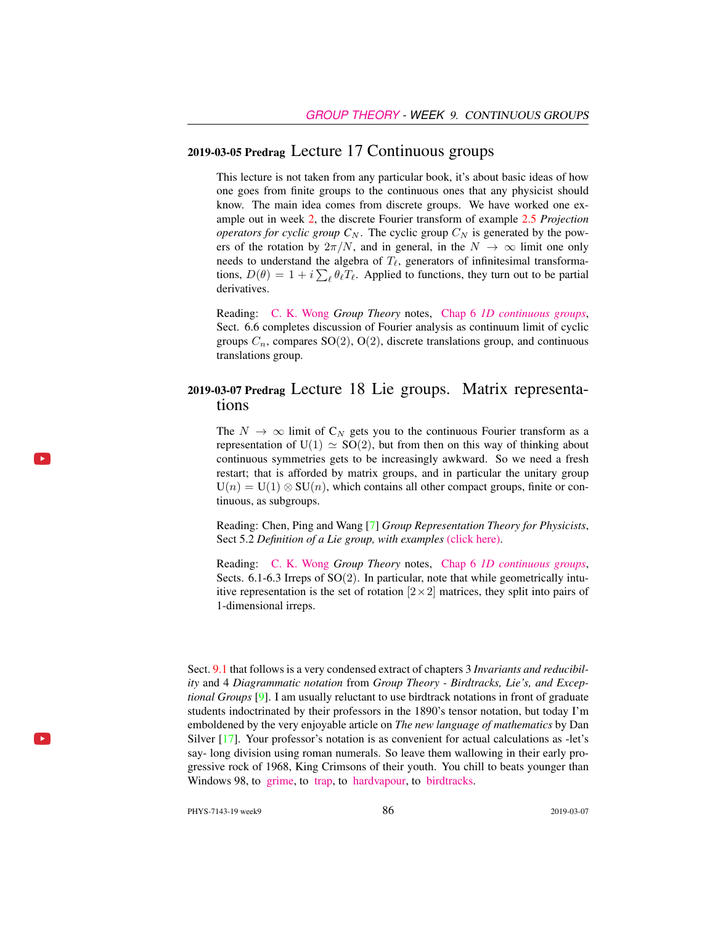#### 2019-03-05 Predrag Lecture 17 Continuous groups

This lecture is not taken from any particular book, it's about basic ideas of how one goes from finite groups to the continuous ones that any physicist should know. The main idea comes from discrete groups. We have worked one example out in week 2, the discrete Fourier transform of example 2.5 *Projection operators for cyclic group*  $C_N$ . The cyclic group  $C_N$  is generated by the powers of the rotation by  $2\pi/N$ , and in general, in the  $N \to \infty$  limit one only needs to understand the algebra of  $T_\ell$ , generators of infinitesimal transformations,  $D(\theta) = 1 + i \sum_{\ell} \theta_{\ell} T_{\ell}$ . Applied to functions, they turn out to be partial derivatives.

Reading: [C. K. Wong](http://ckw.phys.ncku.edu.tw/) *Group Theory* notes, Chap 6 *[1D continuous groups](http://ckw.phys.ncku.edu.tw/public/pub/Notes/Mathematics/GroupTheory/Tung/Powerpoint/6._1DContinuousGroups.ppt)*, Sect. 6.6 completes discussion of Fourier analysis as continuum limit of cyclic groups  $C_n$ , compares SO(2), O(2), discrete translations group, and continuous translations group.

## 2019-03-07 Predrag Lecture 18 Lie groups. Matrix representations

The  $N \to \infty$  limit of  $C_N$  gets you to the continuous Fourier transform as a representation of  $U(1) \simeq SO(2)$ , but from then on this way of thinking about continuous symmetries gets to be increasingly awkward. So we need a fresh restart; that is afforded by matrix groups, and in particular the unitary group  $U(n) = U(1) \otimes SU(n)$ , which contains all other compact groups, finite or continuous, as subgroups.

Reading: Chen, Ping and Wang [7] *Group Representation Theory for Physicists*, Sect 5.2 *Definition of a Lie group, with examples* [\(click here\).](http://ChaosBook.org/library/Chen5-2.pdf)

Reading: [C. K. Wong](http://ckw.phys.ncku.edu.tw/) *Group Theory* notes, Chap 6 *[1D continuous groups](http://ckw.phys.ncku.edu.tw/public/pub/Notes/Mathematics/GroupTheory/Tung/Powerpoint/6._1DContinuousGroups.ppt)*, Sects.  $6.1-6.3$  Irreps of SO $(2)$ . In particular, note that while geometrically intuitive representation is the set of rotation  $[2 \times 2]$  matrices, they split into pairs of 1-dimensional irreps.

Sect. 9.1 that follows is a very condensed extract of chapters 3 *Invariants and reducibility* and 4 *Diagrammatic notation* from *Group Theory - Birdtracks, Lie's, and Exceptional Groups* [9]. I am usually reluctant to use birdtrack notations in front of graduate students indoctrinated by their professors in the 1890's tensor notation, but today I'm emboldened by the very enjoyable article on *The new language of mathematics* by Dan Silver [17]. Your professor's notation is as convenient for actual calculations as -let's say- long division using roman numerals. So leave them wallowing in their early progressive rock of 1968, King Crimsons of their youth. You chill to beats younger than Windows 98, to [grime,](https://www.youtube.com/watch?v=RqQGUJK7Na4) to [trap,](https://www.youtube.com/watch?v=i_kF4zLNKio) to [hardvapour,](https://antifurdigital.bandcamp.com/album/hardvapour-2) to [birdtracks.](https://www.youtube.com/watch?v=XMGbY1csVnI)

 $\blacktriangleright$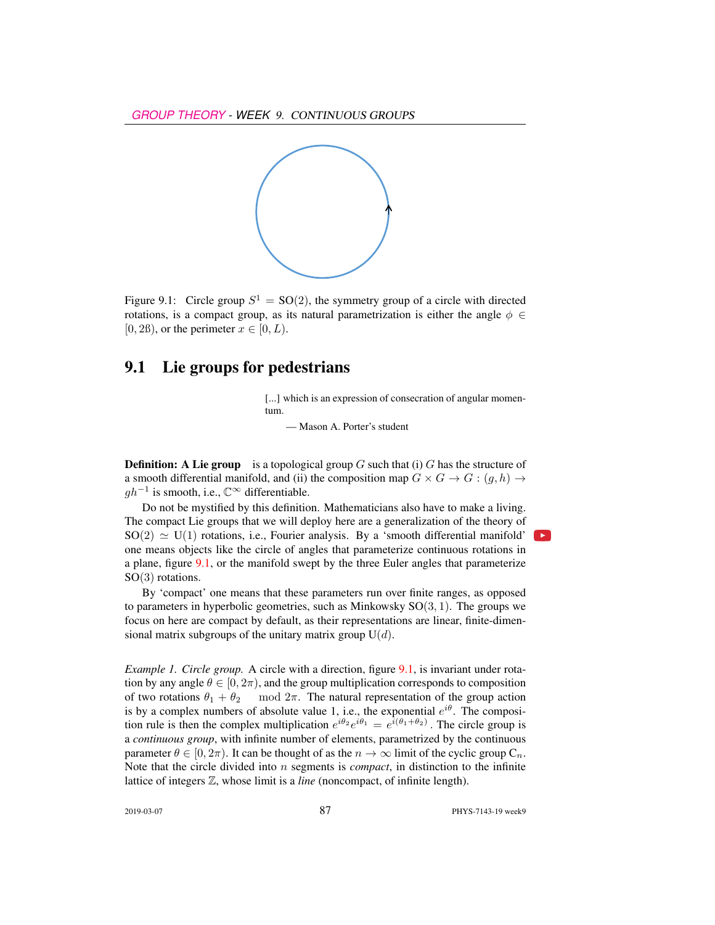

Figure 9.1: Circle group  $S^1 = SO(2)$ , the symmetry group of a circle with directed rotations, is a compact group, as its natural parametrization is either the angle  $\phi \in$ [0, 2ß], or the perimeter  $x \in [0, L)$ .

## 9.1 Lie groups for pedestrians

[...] which is an expression of consecration of angular momentum.

— Mason A. Porter's student

**Definition:** A Lie group is a topological group G such that (i) G has the structure of a smooth differential manifold, and (ii) the composition map  $G \times G \to G$ :  $(q, h) \to$  $gh^{-1}$  is smooth, i.e.,  $\mathbb{C}^{\infty}$  differentiable.

Do not be mystified by this definition. Mathematicians also have to make a living. The compact Lie groups that we will deploy here are a generalization of the theory of  $SO(2) \simeq U(1)$  rotations, i.e., Fourier analysis. By a 'smooth differential manifold' one means objects like the circle of angles that parameterize continuous rotations in a plane, figure 9.1, or the manifold swept by the three Euler angles that parameterize SO(3) rotations.

By 'compact' one means that these parameters run over finite ranges, as opposed to parameters in hyperbolic geometries, such as Minkowsky  $SO(3, 1)$ . The groups we focus on here are compact by default, as their representations are linear, finite-dimensional matrix subgroups of the unitary matrix group  $U(d)$ .

*Example 1. Circle group.* A circle with a direction, figure 9.1, is invariant under rotation by any angle  $\theta \in [0, 2\pi)$ , and the group multiplication corresponds to composition of two rotations  $\theta_1 + \theta_2$  mod  $2\pi$ . The natural representation of the group action is by a complex numbers of absolute value 1, i.e., the exponential  $e^{i\theta}$ . The composition rule is then the complex multiplication  $e^{i\theta_2}e^{i\theta_1} = e^{i(\theta_1 + \theta_2)}$ . The circle group is a *continuous group*, with infinite number of elements, parametrized by the continuous parameter  $\theta \in [0, 2\pi)$ . It can be thought of as the  $n \to \infty$  limit of the cyclic group  $C_n$ . Note that the circle divided into n segments is *compact*, in distinction to the infinite lattice of integers Z, whose limit is a *line* (noncompact, of infinite length).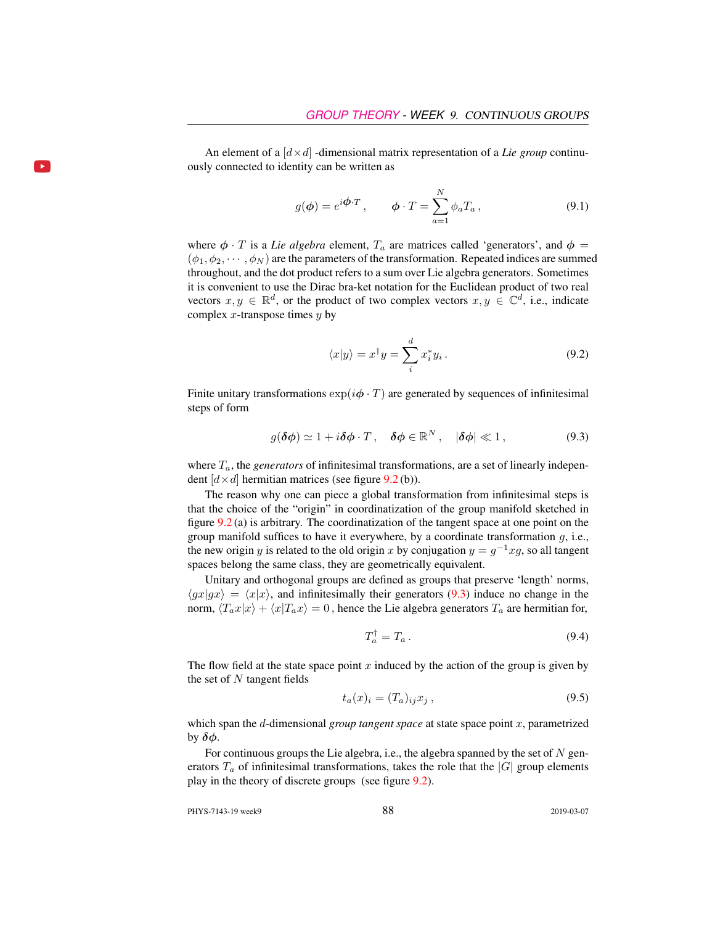An element of a  $\left[ d \times d \right]$  -dimensional matrix representation of a *Lie group* continuously connected to identity can be written as

$$
g(\phi) = e^{i\phi \cdot T}, \qquad \phi \cdot T = \sum_{a=1}^{N} \phi_a T_a, \qquad (9.1)
$$

where  $\phi \cdot T$  is a *Lie algebra* element,  $T_a$  are matrices called 'generators', and  $\phi =$  $(\phi_1, \phi_2, \dots, \phi_N)$  are the parameters of the transformation. Repeated indices are summed throughout, and the dot product refers to a sum over Lie algebra generators. Sometimes it is convenient to use the Dirac bra-ket notation for the Euclidean product of two real vectors  $x, y \in \mathbb{R}^d$ , or the product of two complex vectors  $x, y \in \mathbb{C}^d$ , i.e., indicate complex  $x$ -transpose times  $y$  by

$$
\langle x|y\rangle = x^{\dagger}y = \sum_{i}^{d} x_{i}^{*}y_{i}.
$$
 (9.2)

Finite unitary transformations  $\exp(i\phi \cdot T)$  are generated by sequences of infinitesimal steps of form

$$
g(\delta\phi) \simeq 1 + i\delta\phi \cdot T \,, \quad \delta\phi \in \mathbb{R}^N \,, \quad |\delta\phi| \ll 1 \,, \tag{9.3}
$$

where  $T_a$ , the *generators* of infinitesimal transformations, are a set of linearly independent  $[d \times d]$  hermitian matrices (see figure 9.2 (b)).

The reason why one can piece a global transformation from infinitesimal steps is that the choice of the "origin" in coordinatization of the group manifold sketched in figure 9.2 (a) is arbitrary. The coordinatization of the tangent space at one point on the group manifold suffices to have it everywhere, by a coordinate transformation  $g$ , i.e., the new origin y is related to the old origin x by conjugation  $y = g^{-1}xg$ , so all tangent spaces belong the same class, they are geometrically equivalent.

Unitary and orthogonal groups are defined as groups that preserve 'length' norms,  $\langle gx|gx \rangle = \langle x|x \rangle$ , and infinitesimally their generators (9.3) induce no change in the norm,  $\langle T_a x | x \rangle + \langle x | T_a x \rangle = 0$ , hence the Lie algebra generators  $T_a$  are hermitian for,

$$
T_a^\dagger = T_a \,. \tag{9.4}
$$

The flow field at the state space point x induced by the action of the group is given by the set of  $N$  tangent fields

$$
t_a(x)_i = (T_a)_{ij} x_j , \qquad (9.5)
$$

which span the d-dimensional *group tangent space* at state space point x, parametrized by  $\delta \phi$ .

For continuous groups the Lie algebra, i.e., the algebra spanned by the set of  $N$  generators  $T_a$  of infinitesimal transformations, takes the role that the  $|G|$  group elements play in the theory of discrete groups (see figure 9.2).

PHYS-7143-19 week9 2019-03-07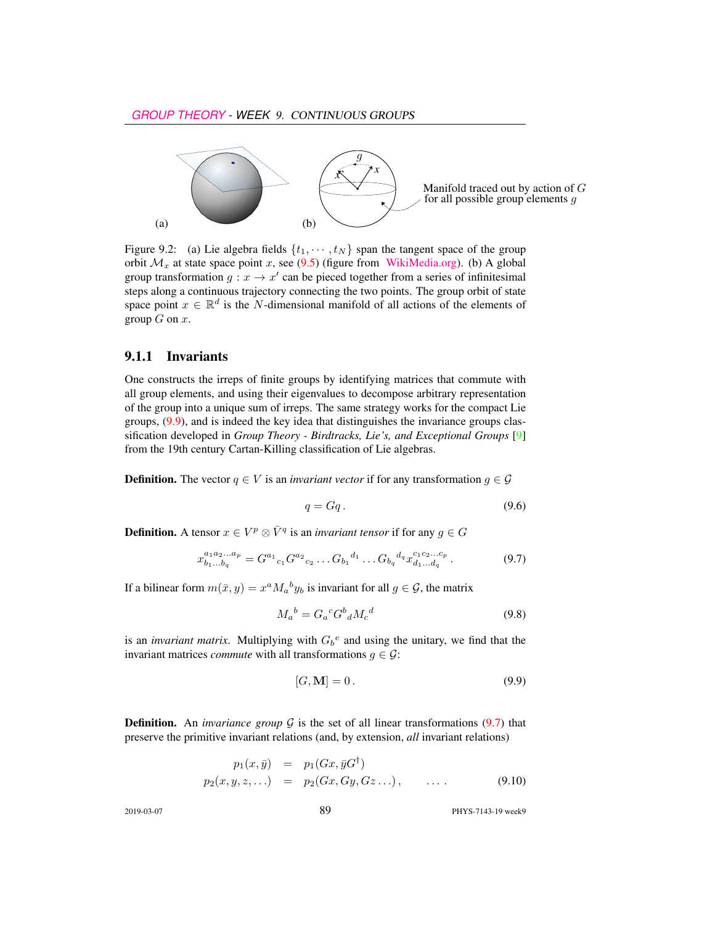

Figure 9.2: (a) Lie algebra fields  $\{t_1, \dots, t_N\}$  span the tangent space of the group orbit  $\mathcal{M}_x$  at state space point x, see (9.5) (figure from [WikiMedia.org\)](https://commons.wikimedia.org/wiki/File:Image_Tangent-plane.svg). (b) A global group transformation  $g: x \to x'$  can be pieced together from a series of infinitesimal steps along a continuous trajectory connecting the two points. The group orbit of state space point  $x \in \mathbb{R}^d$  is the N-dimensional manifold of all actions of the elements of group  $G$  on  $x$ .

#### 9.1.1 Invariants

One constructs the irreps of finite groups by identifying matrices that commute with all group elements, and using their eigenvalues to decompose arbitrary representation of the group into a unique sum of irreps. The same strategy works for the compact Lie groups, (9.9), and is indeed the key idea that distinguishes the invariance groups classification developed in *Group Theory - Birdtracks, Lie's, and Exceptional Groups* [9] from the 19th century Cartan-Killing classification of Lie algebras.

**Definition.** The vector  $q \in V$  is an *invariant vector* if for any transformation  $q \in \mathcal{G}$ 

$$
q = Gq. \tag{9.6}
$$

**Definition.** A tensor  $x \in V^p \otimes \overline{V}^q$  is an *invariant tensor* if for any  $g \in G$ 

$$
x_{b_1...b_q}^{a_1a_2...a_p} = G^{a_1}{}_{c_1} G^{a_2}{}_{c_2} \dots G_{b_1}{}^{d_1} \dots G_{b_q}{}^{d_q} x_{d_1...d_q}^{c_1c_2...c_p}.
$$
 (9.7)

If a bilinear form  $m(\bar{x}, y) = x^a M_a{}^b y_b$  is invariant for all  $g \in \mathcal{G}$ , the matrix

$$
M_a{}^b = G_a{}^c G^b{}_d M_c{}^d \tag{9.8}
$$

is an *invariant matrix*. Multiplying with  $G_b^e$  and using the unitary, we find that the invariant matrices *commute* with all transformations  $g \in \mathcal{G}$ :

$$
[G, \mathbf{M}] = 0. \tag{9.9}
$$

**Definition.** An *invariance group*  $G$  is the set of all linear transformations  $(9.7)$  that preserve the primitive invariant relations (and, by extension, *all* invariant relations)

$$
p_1(x, \bar{y}) = p_1(Gx, \bar{y}G^{\dagger})
$$
  
\n
$$
p_2(x, y, z, ...)= p_2(Gx, Gy, Gz...), \quad ... \quad (9.10)
$$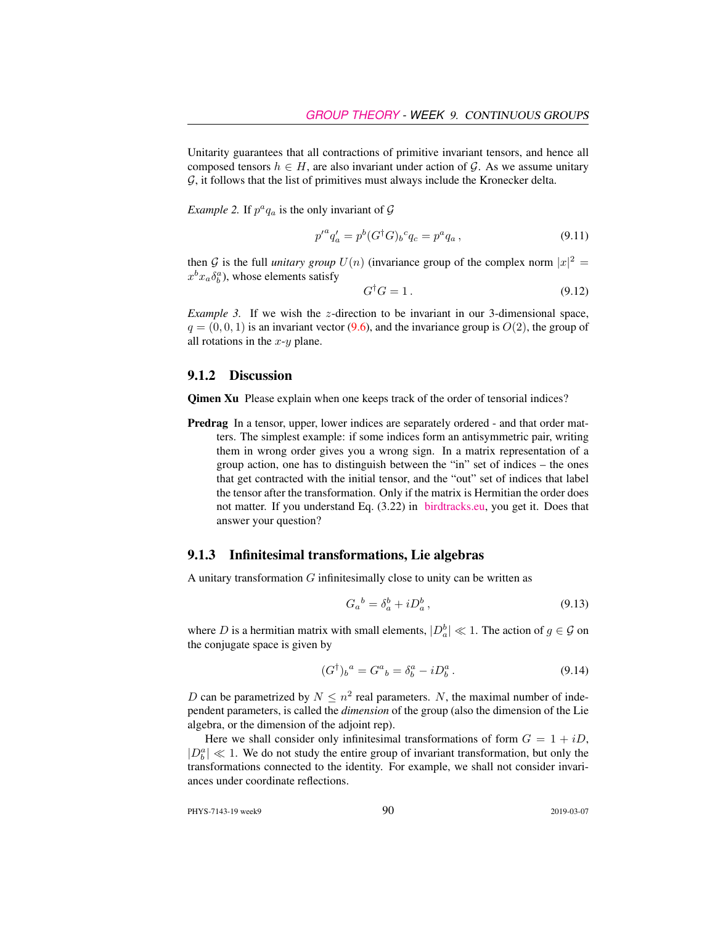Unitarity guarantees that all contractions of primitive invariant tensors, and hence all composed tensors  $h \in H$ , are also invariant under action of G. As we assume unitary  $G$ , it follows that the list of primitives must always include the Kronecker delta.

*Example 2.* If  $p^a q_a$  is the only invariant of  $\mathcal G$ 

$$
p'^{a}q'_{a} = p^{b}(G^{\dagger}G)_{b}{}^{c}q_{c} = p^{a}q_{a}, \qquad (9.11)
$$

then G is the full *unitary group*  $U(n)$  (invariance group of the complex norm  $|x|^2 =$  $x^b x_a \delta_b^a$ ), whose elements satisfy

$$
G^{\dagger}G = 1. \tag{9.12}
$$

*Example 3.* If we wish the z-direction to be invariant in our 3-dimensional space,  $q = (0, 0, 1)$  is an invariant vector (9.6), and the invariance group is  $O(2)$ , the group of all rotations in the  $x-y$  plane.

#### 9.1.2 Discussion

Qimen Xu Please explain when one keeps track of the order of tensorial indices?

Predrag In a tensor, upper, lower indices are separately ordered - and that order matters. The simplest example: if some indices form an antisymmetric pair, writing them in wrong order gives you a wrong sign. In a matrix representation of a group action, one has to distinguish between the "in" set of indices – the ones that get contracted with the initial tensor, and the "out" set of indices that label the tensor after the transformation. Only if the matrix is Hermitian the order does not matter. If you understand Eq. (3.22) in [birdtracks.eu,](http://birdtracks.eu/courses/PHYS-7143-19/PCgr_pp16_20.pdf) you get it. Does that answer your question?

#### 9.1.3 Infinitesimal transformations, Lie algebras

A unitary transformation  $G$  infinitesimally close to unity can be written as

$$
G_a{}^b = \delta_a^b + i D_a^b \,,\tag{9.13}
$$

where D is a hermitian matrix with small elements,  $|D_a^b| \ll 1$ . The action of  $g \in \mathcal{G}$  on the conjugate space is given by

$$
(G^{\dagger})_b{}^a = G^a{}_b = \delta^a_b - i D^a_b. \tag{9.14}
$$

D can be parametrized by  $N \leq n^2$  real parameters. N, the maximal number of independent parameters, is called the *dimension* of the group (also the dimension of the Lie algebra, or the dimension of the adjoint rep).

Here we shall consider only infinitesimal transformations of form  $G = 1 + iD$ ,  $|D_b^a| \ll 1$ . We do not study the entire group of invariant transformation, but only the transformations connected to the identity. For example, we shall not consider invariances under coordinate reflections.

PHYS-7143-19 week9 2019-03-07 2019-03-07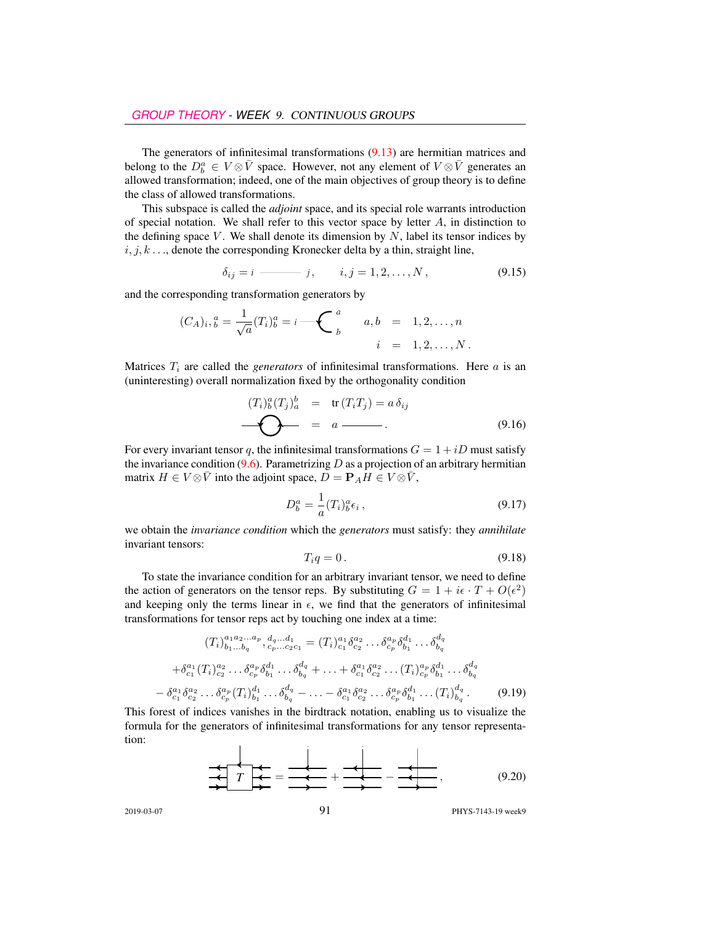The generators of infinitesimal transformations (9.13) are hermitian matrices and belong to the  $D_b^a \in V \otimes \bar{V}$  space. However, not any element of  $V \otimes \bar{V}$  generates an allowed transformation; indeed, one of the main objectives of group theory is to define the class of allowed transformations.

This subspace is called the *adjoint* space, and its special role warrants introduction of special notation. We shall refer to this vector space by letter  $A$ , in distinction to the defining space  $V$ . We shall denote its dimension by  $N$ , label its tensor indices by  $i, j, k, \ldots$ , denote the corresponding Kronecker delta by a thin, straight line,

$$
\delta_{ij} = i \longrightarrow j, \qquad i, j = 1, 2, \dots, N,
$$
\n(9.15)

and the corresponding transformation generators by

$$
(C_A)_i, \, \, \stackrel{a}{b} = \frac{1}{\sqrt{a}} (T_i)_b^a = i \, \underbrace{\qquad \qquad}_{b} \qquad a, \, b = 1, 2, \dots, n
$$
\n
$$
i = 1, 2, \dots, N \, .
$$

Matrices  $T_i$  are called the *generators* of infinitesimal transformations. Here  $a$  is an (uninteresting) overall normalization fixed by the orthogonality condition

$$
(T_i)_b^a(T_j)_a^b = \text{tr}(T_iT_j) = a\,\delta_{ij}
$$
\n
$$
\longrightarrow \qquad \qquad \bullet \qquad \qquad 0.16)
$$

For every invariant tensor q, the infinitesimal transformations  $G = 1 + iD$  must satisfy the invariance condition  $(9.6)$ . Parametrizing D as a projection of an arbitrary hermitian matrix  $H \in V \otimes \overline{V}$  into the adjoint space,  $D = P_A H \in V \otimes \overline{V}$ ,

$$
D_b^a = \frac{1}{a}(T_i)_b^a \epsilon_i \,, \tag{9.17}
$$

we obtain the *invariance condition* which the *generators* must satisfy: they *annihilate* invariant tensors:

$$
T_i q = 0. \tag{9.18}
$$

To state the invariance condition for an arbitrary invariant tensor, we need to define the action of generators on the tensor reps. By substituting  $G = 1 + i\epsilon \cdot T + O(\epsilon^2)$ and keeping only the terms linear in  $\epsilon$ , we find that the generators of infinitesimal transformations for tensor reps act by touching one index at a time:

$$
(T_i)_{b_1...b_q}^{a_1 a_2...a_p}, d_q...d_1 = (T_i)_{c_1}^{a_1} \delta_{c_2}^{a_2} ... \delta_{c_p}^{a_p} \delta_{b_1}^{d_1} ... \delta_{b_q}^{d_q}
$$
  
+ $\delta_{c_1}^{a_1} (T_i)_{c_2}^{a_2} ... \delta_{c_p}^{a_p} \delta_{b_1}^{d_1} ... \delta_{b_q}^{d_q} + ... + \delta_{c_1}^{a_1} \delta_{c_2}^{a_2} ... (T_i)_{c_p}^{a_p} \delta_{b_1}^{d_1} ... \delta_{b_q}^{d_q}$   
- $\delta_{c_1}^{a_1} \delta_{c_2}^{a_2} ... \delta_{c_p}^{a_p} (T_i)_{b_1}^{d_1} ... \delta_{b_q}^{d_q} - ... - \delta_{c_1}^{a_1} \delta_{c_2}^{a_2} ... \delta_{c_p}^{a_p} \delta_{b_1}^{d_1} ... (T_i)_{b_q}^{d_q}$ . (9.19)

This forest of indices vanishes in the birdtrack notation, enabling us to visualize the formula for the generators of infinitesimal transformations for any tensor representation:

 *<sup>T</sup>* <sup>=</sup> <sup>+</sup> <sup>−</sup> , (9.20)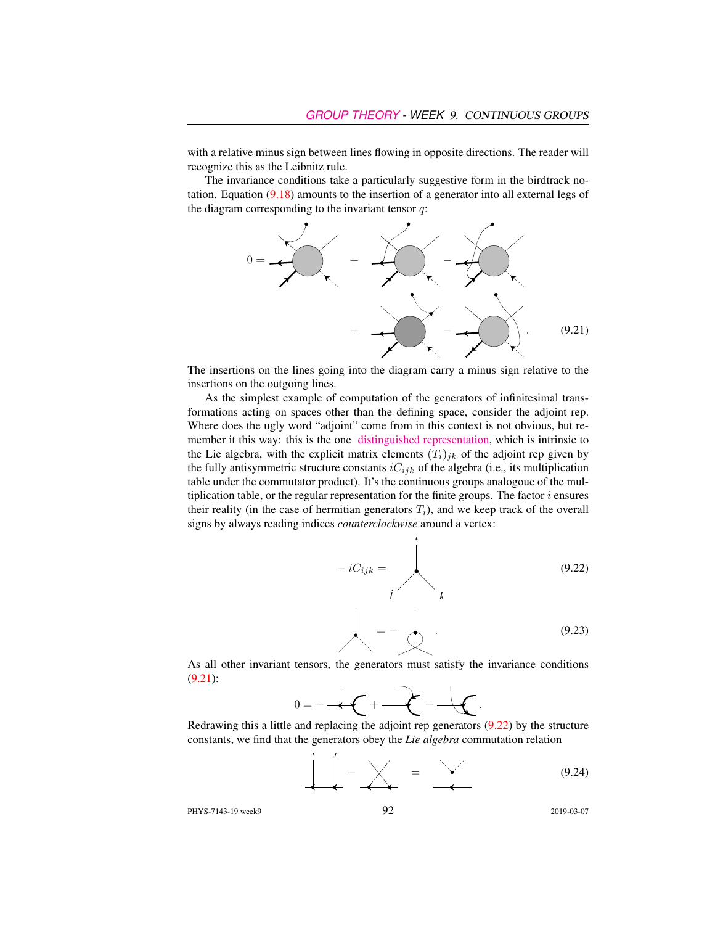with a relative minus sign between lines flowing in opposite directions. The reader will recognize this as the Leibnitz rule.

The invariance conditions take a particularly suggestive form in the birdtrack notation. Equation (9.18) amounts to the insertion of a generator into all external legs of the diagram corresponding to the invariant tensor  $q$ :



The insertions on the lines going into the diagram carry a minus sign relative to the insertions on the outgoing lines.

As the simplest example of computation of the generators of infinitesimal transformations acting on spaces other than the defining space, consider the adjoint rep. Where does the ugly word "adjoint" come from in this context is not obvious, but remember it this way: this is the one [distinguished representation,](http://jakobschwichtenberg.com/adjoint-representation/) which is intrinsic to the Lie algebra, with the explicit matrix elements  $(T_i)_{ik}$  of the adjoint rep given by the fully antisymmetric structure constants  $iC_{ijk}$  of the algebra (i.e., its multiplication table under the commutator product). It's the continuous groups analogoue of the multiplication table, or the regular representation for the finite groups. The factor  $i$  ensures their reality (in the case of hermitian generators  $T_i$ ), and we keep track of the overall signs by always reading indices *counterclockwise* around a vertex:

*i*

$$
-iC_{ijk} = \n\begin{matrix}\n& & & (9.22) \\
& & & & \\
& & & & \\
& & & & \\
& & & & \\
& & & & & \\
& & & & & \\
& & & & & \\
& & & & & \\
& & & & & & \\
& & & & & & \\
& & & & & & (9.23)\n\end{matrix}
$$

As all other invariant tensors, the generators must satisfy the invariance conditions (9.21):



Redrawing this a little and replacing the adjoint rep generators (9.22) by the structure constants, we find that the generators obey the *Lie algebra* commutation relation

$$
\underbrace{\begin{array}{c}\n\cdot & \cdot \\
\downarrow & \cdot \\
\hline\n\end{array}}_{\text{max}} - \underbrace{\begin{array}{c}\n\cdot & \cdot \\
\downarrow & \cdot \\
\hline\n\end{array}}_{\text{max}} = \underbrace{\begin{array}{c}\n\cdot & \cdot \\
\downarrow & \cdot \\
\hline\n\end{array}}_{\text{max}} \tag{9.24}
$$

PHYS-7143-19 week9 2019-03-07 2019-03-07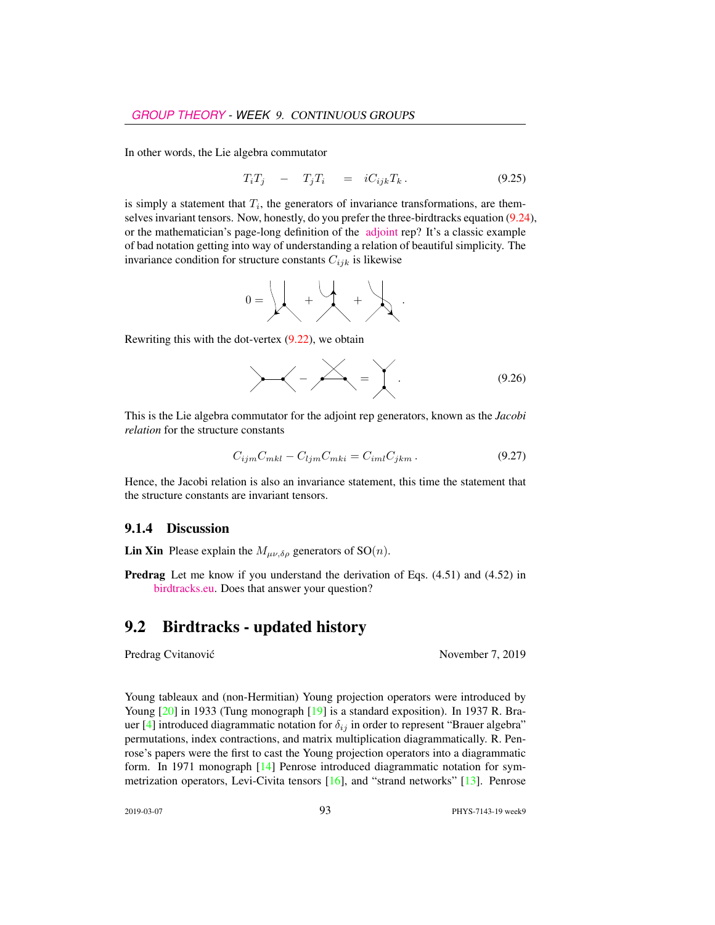In other words, the Lie algebra commutator

$$
T_i T_j - T_j T_i = i C_{ijk} T_k. \t\t(9.25)
$$

is simply a statement that  $T_i$ , the generators of invariance transformations, are themselves invariant tensors. Now, honestly, do you prefer the three-birdtracks equation (9.24), or the mathematician's page-long definition of the [adjoint](https://www.encyclopediaofmath.org/index.php/Adjoint_representation_of_a_Lie_group) rep? It's a classic example of bad notation getting into way of understanding a relation of beautiful simplicity. The invariance condition for structure constants  $C_{ijk}$  is likewise

0 = + + .

Rewriting this with the dot-vertex  $(9.22)$ , we obtain

$$
\angle - \angle - \angle = \angle \qquad (9.26)
$$

This is the Lie algebra commutator for the adjoint rep generators, known as the *Jacobi relation* for the structure constants

$$
C_{ijm}C_{mkl} - C_{ljm}C_{mki} = C_{iml}C_{jkm}.
$$
\n(9.27)

Hence, the Jacobi relation is also an invariance statement, this time the statement that the structure constants are invariant tensors.

#### 9.1.4 Discussion

**Lin Xin** Please explain the  $M_{\mu\nu,\delta\rho}$  generators of SO(*n*).

Predrag Let me know if you understand the derivation of Eqs. (4.51) and (4.52) in [birdtracks.eu.](http://birdtracks.eu/courses/PHYS-7143-19/PCgr_pp33_38.pdf) Does that answer your question?

### 9.2 Birdtracks - updated history

Predrag Cvitanović November 7, 2019

Young tableaux and (non-Hermitian) Young projection operators were introduced by Young [20] in 1933 (Tung monograph [19] is a standard exposition). In 1937 R. Brauer [4] introduced diagrammatic notation for  $\delta_{ij}$  in order to represent "Brauer algebra" permutations, index contractions, and matrix multiplication diagrammatically. R. Penrose's papers were the first to cast the Young projection operators into a diagrammatic form. In 1971 monograph [14] Penrose introduced diagrammatic notation for symmetrization operators, Levi-Civita tensors [16], and "strand networks" [13]. Penrose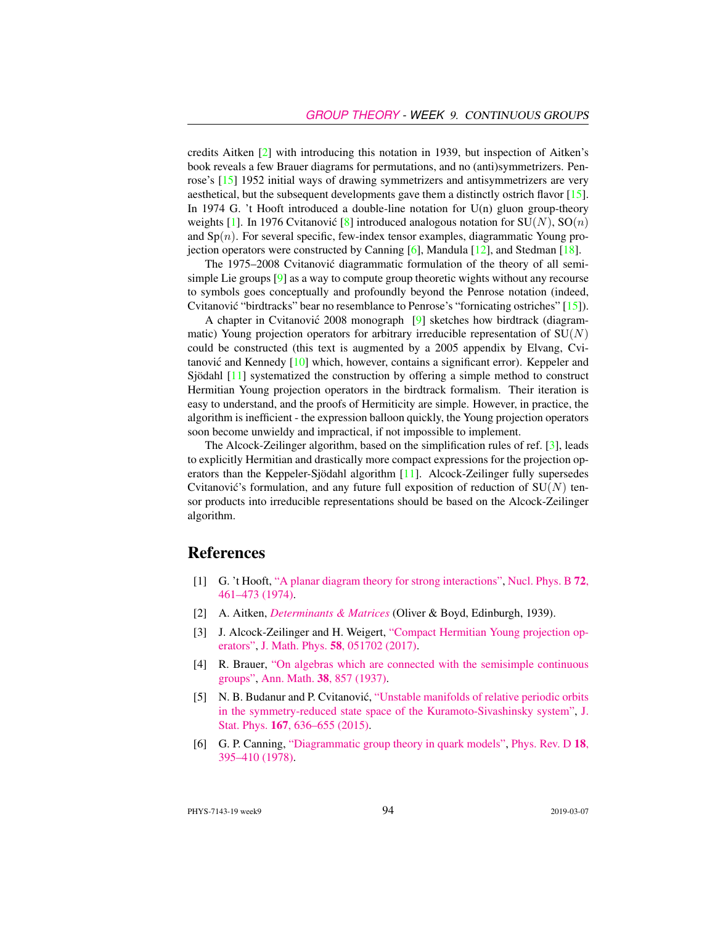credits Aitken [2] with introducing this notation in 1939, but inspection of Aitken's book reveals a few Brauer diagrams for permutations, and no (anti)symmetrizers. Penrose's [15] 1952 initial ways of drawing symmetrizers and antisymmetrizers are very aesthetical, but the subsequent developments gave them a distinctly ostrich flavor [15]. In 1974 G. 't Hooft introduced a double-line notation for  $U(n)$  gluon group-theory weights [1]. In 1976 Cvitanović [8] introduced analogous notation for  $SU(N)$ ,  $SO(n)$ and  $Sp(n)$ . For several specific, few-index tensor examples, diagrammatic Young projection operators were constructed by Canning [6], Mandula [12], and Stedman [18].

The 1975–2008 Cvitanovic diagrammatic formulation of the theory of all semi- ´ simple Lie groups [9] as a way to compute group theoretic wights without any recourse to symbols goes conceptually and profoundly beyond the Penrose notation (indeed, Cvitanović "birdtracks" bear no resemblance to Penrose's "fornicating ostriches" [15]).

A chapter in Cvitanović 2008 monograph  $[9]$  sketches how birdtrack (diagrammatic) Young projection operators for arbitrary irreducible representation of  $SU(N)$ could be constructed (this text is augmented by a 2005 appendix by Elvang, Cvitanović and Kennedy  $[10]$  which, however, contains a significant error). Keppeler and Sjödahl [11] systematized the construction by offering a simple method to construct Hermitian Young projection operators in the birdtrack formalism. Their iteration is easy to understand, and the proofs of Hermiticity are simple. However, in practice, the algorithm is inefficient - the expression balloon quickly, the Young projection operators soon become unwieldy and impractical, if not impossible to implement.

The Alcock-Zeilinger algorithm, based on the simplification rules of ref. [3], leads to explicitly Hermitian and drastically more compact expressions for the projection operators than the Keppeler-Sjödahl algorithm [11]. Alcock-Zeilinger fully supersedes Cvitanović's formulation, and any future full exposition of reduction of  $SU(N)$  tensor products into irreducible representations should be based on the Alcock-Zeilinger algorithm.

## References

- [1] G. 't Hooft, ["A planar diagram theory for strong interactions",](http://dx.doi.org/10.1016/0550-3213(74)90154-0) [Nucl. Phys. B](https://doi.org/10.1016/0550-3213(74)90154-0) 72, [461–473 \(1974\).](https://doi.org/10.1016/0550-3213(74)90154-0)
- [2] A. Aitken, *[Determinants & Matrices](http://books.google.com/books?vid=ISBN9781473347106)* (Oliver & Boyd, Edinburgh, 1939).
- [3] J. Alcock-Zeilinger and H. Weigert, ["Compact Hermitian Young projection op](http://dx.doi.org/10.1063/1.4983478)[erators",](http://dx.doi.org/10.1063/1.4983478) J. Math. Phys. 58[, 051702 \(2017\).](https://doi.org/10.1063/1.4983478)
- [4] R. Brauer, ["On algebras which are connected with the semisimple continuous](http://dx.doi.org/10.2307/1968843) [groups",](http://dx.doi.org/10.2307/1968843) Ann. Math. 38[, 857 \(1937\).](https://doi.org/10.2307/1968843)
- [5] N. B. Budanur and P. Cvitanović, ["Unstable manifolds of relative periodic orbits](http://dx.doi.org/10.1007/s10955-016-1672-z) [in the symmetry-reduced state space of the Kuramoto-Sivashinsky system",](http://dx.doi.org/10.1007/s10955-016-1672-z) [J.](https://doi.org/10.1007/s10955-016-1672-z) Stat. Phys. 167[, 636–655 \(2015\).](https://doi.org/10.1007/s10955-016-1672-z)
- [6] G. P. Canning, ["Diagrammatic group theory in quark models",](http://dx.doi.org/10.1103/PhysRevD.18.395) [Phys. Rev. D](https://doi.org/10.1103/PhysRevD.18.395) 18, [395–410 \(1978\).](https://doi.org/10.1103/PhysRevD.18.395)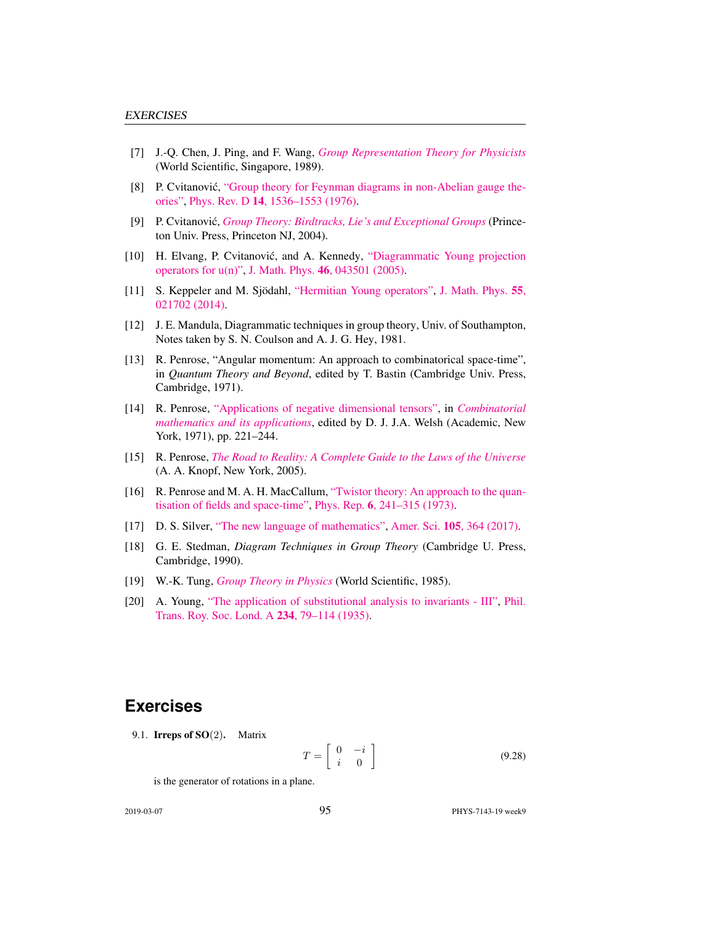- [7] J.-Q. Chen, J. Ping, and F. Wang, *[Group Representation Theory for Physicists](http://dx.doi.org/10.1142/0262)* (World Scientific, Singapore, 1989).
- [8] P. Cvitanović, ["Group theory for Feynman diagrams in non-Abelian gauge the](http://dx.doi.org/10.1103/PhysRevD.14.1536)[ories",](http://dx.doi.org/10.1103/PhysRevD.14.1536) Phys. Rev. D 14[, 1536–1553 \(1976\).](https://doi.org/10.1103/PhysRevD.14.1536)
- [9] P. Cvitanovic,´ *[Group Theory: Birdtracks, Lie's and Exceptional Groups](https://press.princeton.edu/titles/8839.html)* (Princeton Univ. Press, Princeton NJ, 2004).
- [10] H. Elvang, P. Cvitanović, and A. Kennedy, ["Diagrammatic Young projection](http://dx.doi.org/10.1063/1.1832753) [operators for u\(n\)",](http://dx.doi.org/10.1063/1.1832753) J. Math. Phys. 46[, 043501 \(2005\).](https://doi.org/10.1063/1.1832753)
- [11] S. Keppeler and M. Sjödahl, ["Hermitian Young operators",](http://dx.doi.org/10.1063/1.4865177) [J. Math. Phys.](https://doi.org/10.1063/1.4865177) 55, [021702 \(2014\).](https://doi.org/10.1063/1.4865177)
- [12] J. E. Mandula, Diagrammatic techniques in group theory, Univ. of Southampton, Notes taken by S. N. Coulson and A. J. G. Hey, 1981.
- [13] R. Penrose, "Angular momentum: An approach to combinatorical space-time", in *Quantum Theory and Beyond*, edited by T. Bastin (Cambridge Univ. Press, Cambridge, 1971).
- [14] R. Penrose, ["Applications of negative dimensional tensors",](http://homepages.math.uic.edu/~kauffman/Penrose.pdf) in *[Combinatorial](http://homepages.math.uic.edu/~kauffman/Penrose.pdf) [mathematics and its applications](http://homepages.math.uic.edu/~kauffman/Penrose.pdf)*, edited by D. J. J.A. Welsh (Academic, New York, 1971), pp. 221–244.
- [15] R. Penrose, *[The Road to Reality: A Complete Guide to the Laws of the Universe](http://books.google.com/books?vid=ISBN9781446418208)* (A. A. Knopf, New York, 2005).
- [16] R. Penrose and M. A. H. MacCallum, ["Twistor theory: An approach to the quan](http://dx.doi.org/10.1016/0370-1573(73)90008-2)[tisation of fields and space-time",](http://dx.doi.org/10.1016/0370-1573(73)90008-2) Phys. Rep. 6[, 241–315 \(1973\).](https://doi.org/10.1016/0370-1573(73)90008-2)
- [17] D. S. Silver, ["The new language of mathematics",](http://dx.doi.org/10.1511/2017.105.6.364) Amer. Sci. 105[, 364 \(2017\).](https://doi.org/10.1511/2017.105.6.364)
- [18] G. E. Stedman, *Diagram Techniques in Group Theory* (Cambridge U. Press, Cambridge, 1990).
- [19] W.-K. Tung, *[Group Theory in Physics](http://dx.doi.org/10.1142/0097)* (World Scientific, 1985).
- [20] A. Young, ["The application of substitutional analysis to invariants III",](http://dx.doi.org/10.1098/rsta.1935.0001) [Phil.](https://doi.org/10.1098/rsta.1935.0001) [Trans. Roy. Soc. Lond. A](https://doi.org/10.1098/rsta.1935.0001) 234, 79–114 (1935).

## **Exercises**

9.1. **Irreps of SO**(2). Matrix

$$
T = \left[ \begin{array}{cc} 0 & -i \\ i & 0 \end{array} \right] \tag{9.28}
$$

is the generator of rotations in a plane.

2019-03-07 95 PHYS-7143-19 week9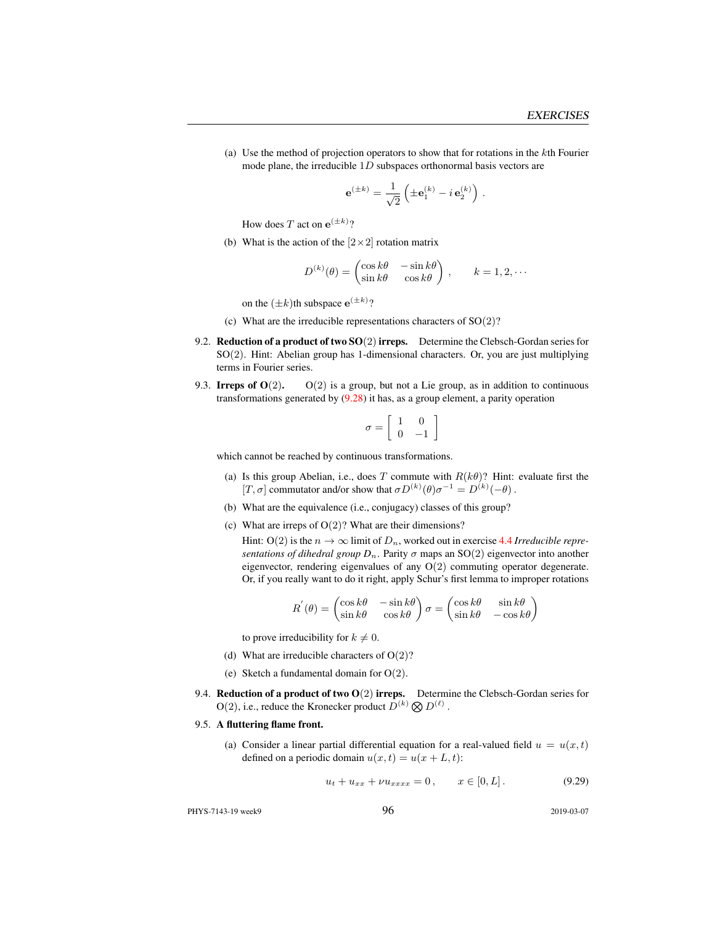(a) Use the method of projection operators to show that for rotations in the kth Fourier mode plane, the irreducible  $1D$  subspaces orthonormal basis vectors are

$$
\mathbf{e}^{(\pm k)} = \frac{1}{\sqrt{2}} \left( \pm \mathbf{e}_1^{(k)} - i \mathbf{e}_2^{(k)} \right).
$$

How does T act on  $e^{(\pm k)}$ ?

(b) What is the action of the  $[2 \times 2]$  rotation matrix

$$
D^{(k)}(\theta) = \begin{pmatrix} \cos k\theta & -\sin k\theta \\ \sin k\theta & \cos k\theta \end{pmatrix}, \qquad k = 1, 2, \cdots
$$

on the  $(\pm k)$ th subspace  $e^{(\pm k)}$ ?

- (c) What are the irreducible representations characters of  $SO(2)$ ?
- 9.2. **Reduction of a product of two SO(2) irreps.** Determine the Clebsch-Gordan series for  $SO(2)$ . Hint: Abelian group has 1-dimensional characters. Or, you are just multiplying terms in Fourier series.
- 9.3. Irreps of  $O(2)$ .  $O(2)$  is a group, but not a Lie group, as in addition to continuous transformations generated by (9.28) it has, as a group element, a parity operation

$$
\sigma = \left[ \begin{array}{cc} 1 & 0 \\ 0 & -1 \end{array} \right]
$$

which cannot be reached by continuous transformations.

- (a) Is this group Abelian, i.e., does T commute with  $R(k\theta)$ ? Hint: evaluate first the [T,  $\sigma$ ] commutator and/or show that  $\sigma D^{(k)}(\theta) \sigma^{-1} = D^{(k)}(-\theta)$ .
- (b) What are the equivalence (i.e., conjugacy) classes of this group?
- (c) What are irreps of  $O(2)$ ? What are their dimensions?
	- Hint: O(2) is the  $n \to \infty$  limit of  $D_n$ , worked out in exercise 4.4 *Irreducible representations of dihedral group*  $D_n$ . Parity  $\sigma$  maps an SO(2) eigenvector into another eigenvector, rendering eigenvalues of any  $O(2)$  commuting operator degenerate. Or, if you really want to do it right, apply Schur's first lemma to improper rotations

$$
R'(\theta) = \begin{pmatrix} \cos k\theta & -\sin k\theta \\ \sin k\theta & \cos k\theta \end{pmatrix} \sigma = \begin{pmatrix} \cos k\theta & \sin k\theta \\ \sin k\theta & -\cos k\theta \end{pmatrix}
$$

to prove irreducibility for  $k \neq 0$ .

- (d) What are irreducible characters of  $O(2)$ ?
- (e) Sketch a fundamental domain for  $O(2)$ .
- 9.4. Reduction of a product of two  $O(2)$  irreps. Determine the Clebsch-Gordan series for  $O(2)$ , i.e., reduce the Kronecker product  $D^{(k)} \otimes D^{(\ell)}$ .

#### 9.5. A fluttering flame front.

(a) Consider a linear partial differential equation for a real-valued field  $u = u(x, t)$ defined on a periodic domain  $u(x, t) = u(x + L, t)$ :

$$
u_t + u_{xx} + \nu u_{xxxx} = 0, \qquad x \in [0, L]. \tag{9.29}
$$

PHYS-7143-19 week9 2019-03-07